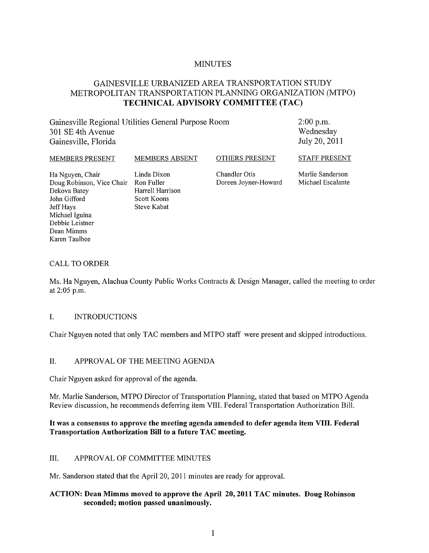# MINUTES

# GAINESVILLE URBANIZED AREA TRANSPORTATION STUDY METROPOLITAN TRANSPORTATION PLANNING ORGANIZATION (MTPO) **TECHNICAL ADVISORY COMMITTEE (TAC)**

Gainesville Regional Utilities General Purpose Room 301 SE 4th Avenue Gainesville, Florida

2:00 p.m. Wednesday July 20,2011

MEMBERS PRESENT MEMBERS ABSENT OTHERS PRESENT

Doug Robinson, Vice Chair Ron Fuller Dekova Batey **Harrell Harrison** John Gifford Scott Koons Jeff Hays Steve Kabat

Ha Nguyen, Chair Linda Dixon Chandler Otis

Marlie Sanderson Michael Escalante

STAFF PRESENT

Michael Iguina Debbie Leistner Dean Mimms Karen Taulbee

## CALL TO ORDER

Ms. Ha Nguyen, Alachua County Public Works Contracts & Design Manager, called the meeting to order at 2:05 p.m.

### I. INTRODUCTIONS

Chair Nguyen noted that only TAC members and MTPO staff were present and skipped introductions.

# II. APPROVAL OF THE MEETING AGENDA

Chair Nguyen asked for approval of the agenda.

Mr. Marlie Sanderson, MTPO Director of Transportation Planning, stated that based on MTPO Agenda Review discussion, he recommends deferring item VIII. Federal Transportation Authorization Bill.

### **It was a consensus to approve the meeting agenda amended to defer agenda item VIII. Federal Transportation Authorization Bill to a future TAC meeting.**

### III. APPROVAL OF COMMITTEE MINUTES

Mr. Sanderson stated that the April 20, 2011 minutes are ready for approval.

## **ACTION: Dean Mimms moved to approve the April 20,2011 TAC minutes. Doug Robinson seconded; motion passed unanimously.**